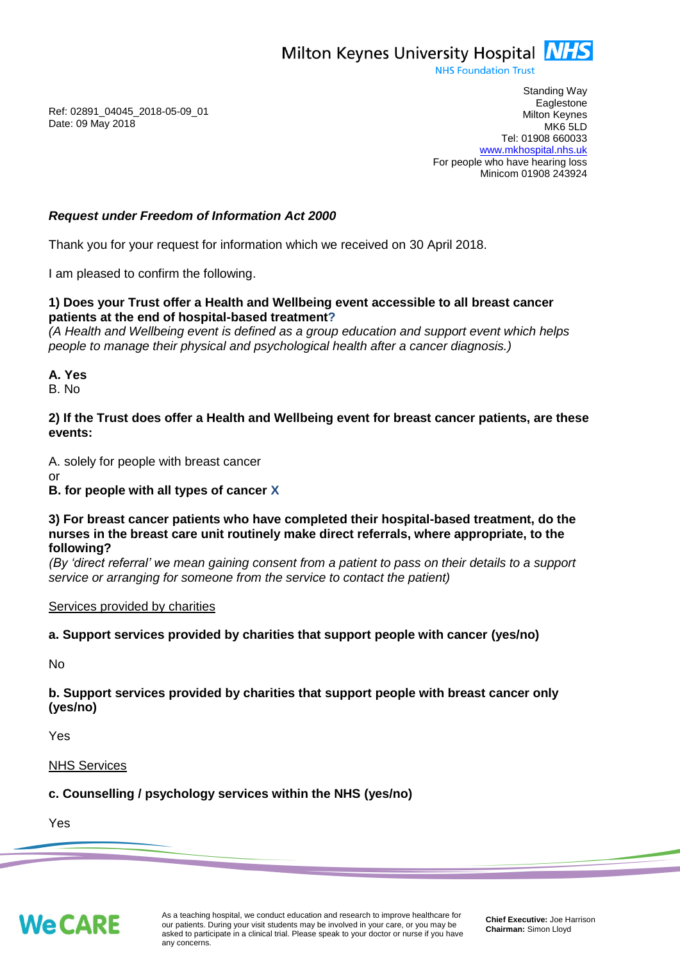Milton Keynes University Hospital **NHS** 

**NHS Foundation Trust** 

Ref: 02891\_04045\_2018-05-09\_01 Date: 09 May 2018

Standing Way **Eaglestone** Milton Keynes MK6 5LD Tel: 01908 660033 [www.mkhospital.nhs.uk](http://www.mkhospital.nhs.uk/) For people who have hearing loss Minicom 01908 243924

### *Request under Freedom of Information Act 2000*

Thank you for your request for information which we received on 30 April 2018.

I am pleased to confirm the following.

#### **1) Does your Trust offer a Health and Wellbeing event accessible to all breast cancer patients at the end of hospital-based treatment?**

*(A Health and Wellbeing event is defined as a group education and support event which helps people to manage their physical and psychological health after a cancer diagnosis.)*

#### **A. Yes**

B. No

#### **2) If the Trust does offer a Health and Wellbeing event for breast cancer patients, are these events:**

A. solely for people with breast cancer

or

### **B. for people with all types of cancer X**

#### **3) For breast cancer patients who have completed their hospital-based treatment, do the nurses in the breast care unit routinely make direct referrals, where appropriate, to the following?**

*(By 'direct referral' we mean gaining consent from a patient to pass on their details to a support service or arranging for someone from the service to contact the patient)*

### Services provided by charities

### **a. Support services provided by charities that support people with cancer (yes/no)**

No

### **b. Support services provided by charities that support people with breast cancer only (yes/no)**

Yes

NHS Services

### **c. Counselling / psychology services within the NHS (yes/no)**

Yes

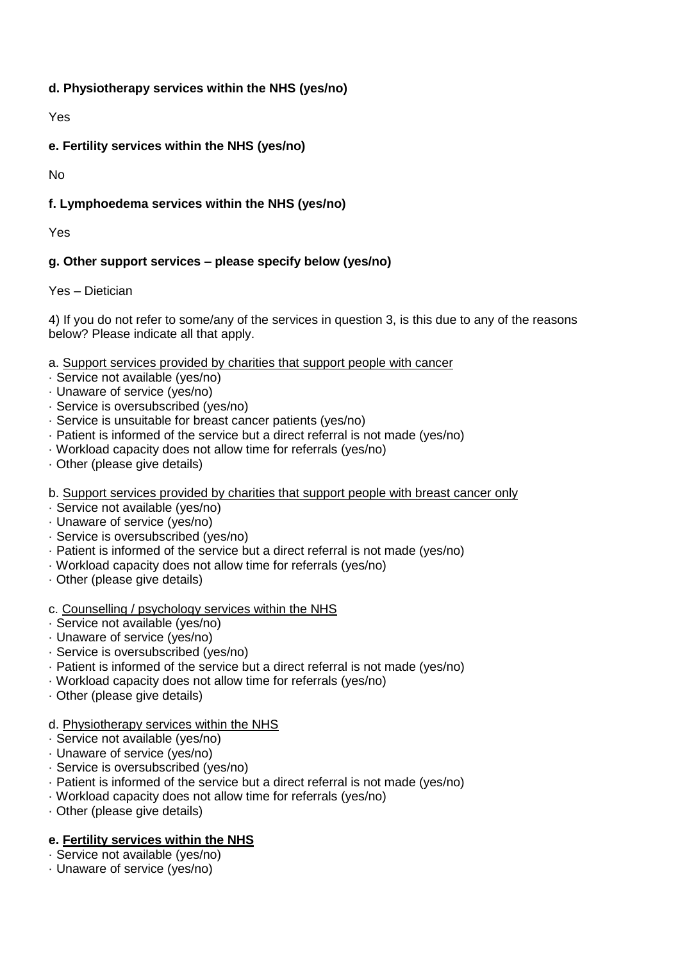### **d. Physiotherapy services within the NHS (yes/no)**

Yes

## **e. Fertility services within the NHS (yes/no)**

No

# **f. Lymphoedema services within the NHS (yes/no)**

Yes

# **g. Other support services – please specify below (yes/no)**

Yes – Dietician

4) If you do not refer to some/any of the services in question 3, is this due to any of the reasons below? Please indicate all that apply.

a. Support services provided by charities that support people with cancer

- · Service not available (yes/no)
- · Unaware of service (yes/no)
- · Service is oversubscribed (yes/no)
- · Service is unsuitable for breast cancer patients (yes/no)
- · Patient is informed of the service but a direct referral is not made (yes/no)
- · Workload capacity does not allow time for referrals (yes/no)
- · Other (please give details)

b. Support services provided by charities that support people with breast cancer only

- · Service not available (yes/no)
- · Unaware of service (yes/no)
- · Service is oversubscribed (yes/no)
- · Patient is informed of the service but a direct referral is not made (yes/no)
- · Workload capacity does not allow time for referrals (yes/no)
- · Other (please give details)

### c. Counselling / psychology services within the NHS

- · Service not available (yes/no)
- · Unaware of service (yes/no)
- · Service is oversubscribed (yes/no)
- · Patient is informed of the service but a direct referral is not made (yes/no)
- · Workload capacity does not allow time for referrals (yes/no)
- · Other (please give details)

# d. Physiotherapy services within the NHS

- · Service not available (yes/no)
- · Unaware of service (yes/no)
- · Service is oversubscribed (yes/no)
- · Patient is informed of the service but a direct referral is not made (yes/no)
- · Workload capacity does not allow time for referrals (yes/no)
- · Other (please give details)

# **e. Fertility services within the NHS**

- · Service not available (yes/no)
- · Unaware of service (yes/no)